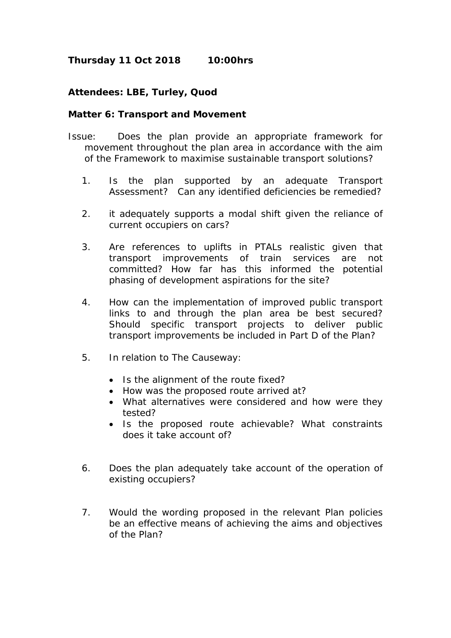## **Thursday 11 Oct 2018 10:00hrs**

## **Attendees: LBE, Turley, Quod**

## **Matter 6: Transport and Movement**

- Issue: Does the plan provide an appropriate framework for movement throughout the plan area in accordance with the aim of the Framework to maximise sustainable transport solutions?
	- 1. Is the plan supported by an adequate Transport Assessment? Can any identified deficiencies be remedied?
	- 2. it adequately supports a modal shift given the reliance of current occupiers on cars?
	- 3. Are references to uplifts in PTALs realistic given that transport improvements of train services are not committed? How far has this informed the potential phasing of development aspirations for the site?
	- 4. How can the implementation of improved public transport links to and through the plan area be best secured? Should specific transport projects to deliver public transport improvements be included in Part D of the Plan?
	- 5. In relation to The Causeway:
		- Is the alignment of the route fixed?
		- How was the proposed route arrived at?
		- What alternatives were considered and how were they tested?
		- Is the proposed route achievable? What constraints does it take account of?
	- 6. Does the plan adequately take account of the operation of existing occupiers?
	- 7. Would the wording proposed in the relevant Plan policies be an effective means of achieving the aims and objectives of the Plan?